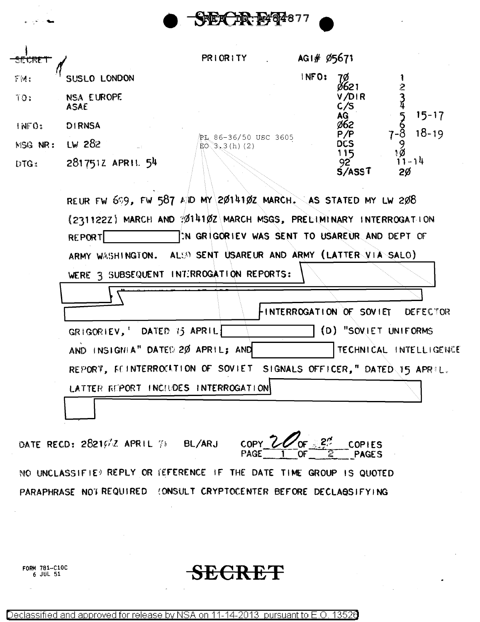

| SECRET            |                    | PRIORITY                               | AG1# Ø5671 |                                 |                        |
|-------------------|--------------------|----------------------------------------|------------|---------------------------------|------------------------|
| \$M:              | SUSLO LONDON       |                                        | INFO:      | 7Ø                              | 2                      |
| 10:               | NSA EUROPE<br>ASAE |                                        |            | V/DIR<br>C/S                    |                        |
| 1NFQ <sub>2</sub> | <b>DIRNSA</b>      |                                        |            | ag<br>ø62                       | $15 - 17$<br>$18 - 19$ |
| <b>MSG NR:</b>    | $Lw$ 282           | PL 86-36/50 USC 3605<br>EO(3, 3(h) (2) |            | P/P<br><b>DCS</b>               |                        |
| DTG:              | 2817512 APRIL 54   |                                        |            | 115<br>92<br>S/ASS <sub>1</sub> | ۱Ø<br>$-14$<br>2Ø      |

REUR FW 699, FW 587 A/ID MY 2014102 MARCH. AS STATED MY LW 208 (2311222) MARCH AND :01410Z MARCH MSGS, PRELIMINARY INTERROGATION IN GRIGORIEV WAS SENT TO USAREUR AND DEPT OF **REPORT** ALSO SENT USAREUR AND ARMY (LATTER VIA SALO) ARMY WASHINGTON. WERE 3 SUBSEQUENT INTIRROGATION REPORTS:

|                                                                     | FINTERROGATION OF SOVIET DEFECTOR |                      |                        |
|---------------------------------------------------------------------|-----------------------------------|----------------------|------------------------|
| GRIGORIEV, DATED 15 APRIL                                           |                                   | (D) "SOVIET UNIFORMS |                        |
| AND INSIGHIA" DATED 20 APRIL; AND                                   |                                   |                      | TECHNICAL INTELLIGENCE |
| REPORT, FEINTERROCATION OF SOVIET SIGNALS OFFICER," DATED 15 APRIL. |                                   |                      |                        |
| LATTER REPORT INCLUDES INTERROGATION                                |                                   |                      |                        |
|                                                                     |                                   |                      |                        |

DATE RECD: 28216/2 APRIL 78 BL/ARJ

COPY Z **COPIES PAGES** 

NO UNCLASSIFIE) REPLY OR (EFERENCE IF THE DATE TIME GROUP IS QUOTED PARAPHRASE NOT REQUIRED (ONSULT CRYPTOCENTER BEFORE DECLASSIFYING

FORM 781-C10C  $6$  JUL  $51$ 

SECRET

Declassified and approved for release by NSA on 11-14-2013 pursuant to E.O. 13520